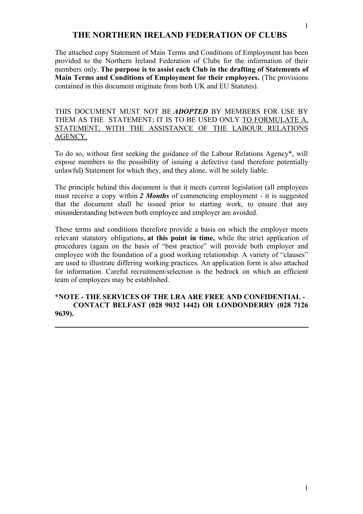# **THE NORTHERN IRELAND FEDERATION OF CLUBS**

The attached copy Statement of Main Terms and Conditions of Employment has been provided to the Northern Ireland Federation of Clubs for the information of their members only. **The purpose is to assist each Club in the drafting of Statements of Main Terms and Conditions of Employment for their employees.** (The provisions contained in this document originate from both UK and EU Statutes).

THIS DOCUMENT MUST NOT BE *ADOPTED* BY MEMBERS FOR USE BY THEM AS THE STATEMENT; IT IS TO BE USED ONLY TO FORMULATE A, STATEMENT, WITH THE ASSISTANCE OF THE LABOUR RELATIONS AGENCY.

To do so, without first seeking the guidance of the Labour Relations Agency\*, will expose members to the possibility of issuing a defective (and therefore potentially unlawful) Statement for which they, and they alone, will be solely liable.

The principle behind this document is that it meets current legislation (all employees must receive a copy within *2 Months* of commencing employment - it is suggested that the document shall be issued prior to starting work, to ensure that any misunderstanding between both employee and employer are avoided.

These terms and conditions therefore provide a basis on which the employer meets relevant statutory obligations, **at this point in time,** while the strict application of procedures (again on the basis of "best practice" will provide both employer and employee with the foundation of a good working relationship. A variety of "clauses" are used to illustrate differing working practices. An application form is also attached for information. Careful recruitment/selection is the bedrock on which an efficient team of employees may be established.

**\*NOTE - THE SERVICES OF THE LRA ARE FREE AND CONFIDENTIAL - CONTACT BELFAST (028 9032 1442) OR LONDONDERRY (028 7126 9639).**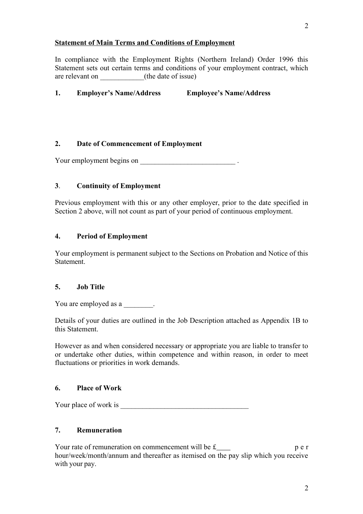# **Statement of Main Terms and Conditions of Employment**

In compliance with the Employment Rights (Northern Ireland) Order 1996 this Statement sets out certain terms and conditions of your employment contract, which are relevant on  $($ the date of issue)

**1. Employer's Name/Address Employee's Name/Address**

# **2. Date of Commencement of Employment**

Your employment begins on  $\blacksquare$ 

#### **3**. **Continuity of Employment**

Previous employment with this or any other employer, prior to the date specified in Section 2 above, will not count as part of your period of continuous employment.

#### **4. Period of Employment**

Your employment is permanent subject to the Sections on Probation and Notice of this Statement.

#### **5. Job Title**

You are employed as a  $\qquad \qquad$ .

Details of your duties are outlined in the Job Description attached as Appendix 1B to this Statement.

However as and when considered necessary or appropriate you are liable to transfer to or undertake other duties, within competence and within reason, in order to meet fluctuations or priorities in work demands.

#### **6. Place of Work**

Your place of work is

# **7. Remuneration**

Your rate of remuneration on commencement will be  $f_{\text{max}}$  p e r hour/week/month/annum and thereafter as itemised on the pay slip which you receive with your pay.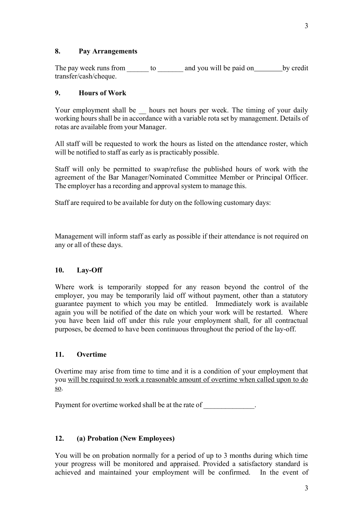#### **8. Pay Arrangements**

The pay week runs from \_\_\_\_\_\_\_ to \_\_\_\_\_\_\_\_ and you will be paid on \_\_\_\_\_\_\_\_\_ by credit transfer/cash/cheque.

#### **9. Hours of Work**

Your employment shall be \_\_ hours net hours per week. The timing of your daily working hours shall be in accordance with a variable rota set by management. Details of rotas are available from your Manager.

All staff will be requested to work the hours as listed on the attendance roster, which will be notified to staff as early as is practicably possible.

Staff will only be permitted to swap/refuse the published hours of work with the agreement of the Bar Manager/Nominated Committee Member or Principal Officer. The employer has a recording and approval system to manage this.

Staff are required to be available for duty on the following customary days:

Management will inform staff as early as possible if their attendance is not required on any or all of these days.

# **10. Lay-Off**

Where work is temporarily stopped for any reason beyond the control of the employer, you may be temporarily laid off without payment, other than a statutory guarantee payment to which you may be entitled. Immediately work is available again you will be notified of the date on which your work will be restarted. Where you have been laid off under this rule your employment shall, for all contractual purposes, be deemed to have been continuous throughout the period of the lay-off.

#### **11. Overtime**

Overtime may arise from time to time and it is a condition of your employment that you will be required to work a reasonable amount of overtime when called upon to do so.

Payment for overtime worked shall be at the rate of  $\blacksquare$ 

#### **12. (a) Probation (New Employees)**

You will be on probation normally for a period of up to 3 months during which time your progress will be monitored and appraised. Provided a satisfactory standard is achieved and maintained your employment will be confirmed. In the event of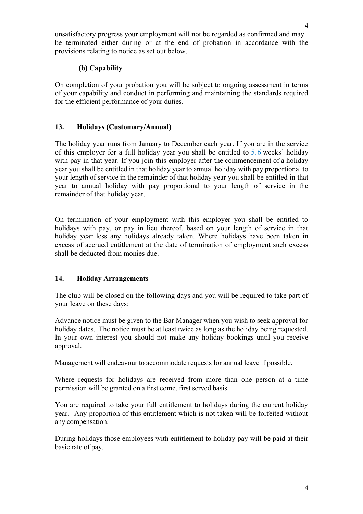4

unsatisfactory progress your employment will not be regarded as confirmed and may be terminated either during or at the end of probation in accordance with the provisions relating to notice as set out below.

# **(b) Capability**

On completion of your probation you will be subject to ongoing assessment in terms of your capability and conduct in performing and maintaining the standards required for the efficient performance of your duties.

# **13. Holidays (Customary/Annual)**

The holiday year runs from January to December each year. If you are in the service of this employer for a full holiday year you shall be entitled to 5.6 weeks' holiday with pay in that year. If you join this employer after the commencement of a holiday year you shall be entitled in that holiday year to annual holiday with pay proportional to your length of service in the remainder of that holiday year you shall be entitled in that year to annual holiday with pay proportional to your length of service in the remainder of that holiday year.

On termination of your employment with this employer you shall be entitled to holidays with pay, or pay in lieu thereof, based on your length of service in that holiday year less any holidays already taken. Where holidays have been taken in excess of accrued entitlement at the date of termination of employment such excess shall be deducted from monies due.

# **14. Holiday Arrangements**

The club will be closed on the following days and you will be required to take part of your leave on these days:

Advance notice must be given to the Bar Manager when you wish to seek approval for holiday dates. The notice must be at least twice as long as the holiday being requested. In your own interest you should not make any holiday bookings until you receive approval.

Management will endeavour to accommodate requests for annual leave if possible.

Where requests for holidays are received from more than one person at a time permission will be granted on a first come, first served basis.

You are required to take your full entitlement to holidays during the current holiday year. Any proportion of this entitlement which is not taken will be forfeited without any compensation.

During holidays those employees with entitlement to holiday pay will be paid at their basic rate of pay.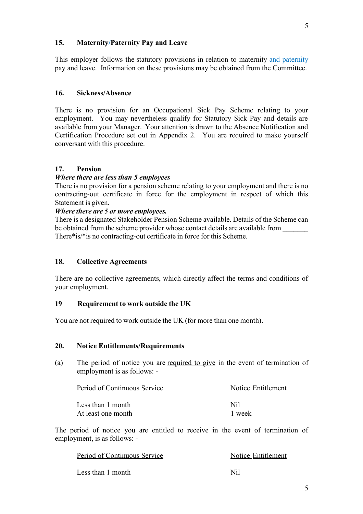#### **15. Maternity/Paternity Pay and Leave**

This employer follows the statutory provisions in relation to maternity and paternity pay and leave. Information on these provisions may be obtained from the Committee.

#### **16. Sickness/Absence**

There is no provision for an Occupational Sick Pay Scheme relating to your employment. You may nevertheless qualify for Statutory Sick Pay and details are available from your Manager. Your attention is drawn to the Absence Notification and Certification Procedure set out in Appendix 2. You are required to make yourself conversant with this procedure.

#### **17. Pension**

#### *Where there are less than 5 employees*

There is no provision for a pension scheme relating to your employment and there is no contracting-out certificate in force for the employment in respect of which this Statement is given.

# *Where there are 5 or more employees.*

There is a designated Stakeholder Pension Scheme available. Details of the Scheme can be obtained from the scheme provider whose contact details are available from There\*is/\*is no contracting-out certificate in force for this Scheme.

# **18. Collective Agreements**

There are no collective agreements, which directly affect the terms and conditions of your employment.

#### **19 Requirement to work outside the UK**

You are not required to work outside the UK (for more than one month).

#### **20. Notice Entitlements/Requirements**

(a) The period of notice you are required to give in the event of termination of employment is as follows: -

| Period of Continuous Service | Notice Entitlement |  |
|------------------------------|--------------------|--|
| Less than 1 month            | Nil                |  |
| At least one month           | 1 week             |  |

The period of notice you are entitled to receive in the event of termination of employment, is as follows: -

| Period of Continuous Service | Notice Entitlement |
|------------------------------|--------------------|
| Less than 1 month            | Nil                |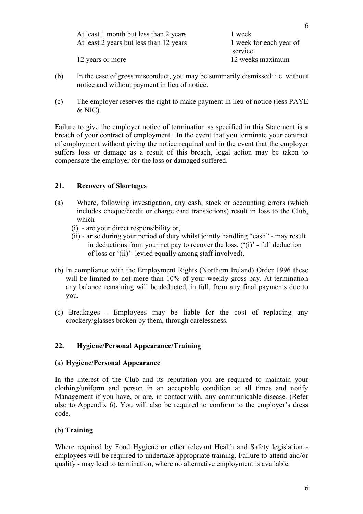| At least 1 month but less than 2 years  | 1 week                  |
|-----------------------------------------|-------------------------|
| At least 2 years but less than 12 years | 1 week for each year of |
|                                         | service                 |
| 12 years or more                        | 12 weeks maximum        |

- (b) In the case of gross misconduct, you may be summarily dismissed: i.e. without notice and without payment in lieu of notice.
- (c) The employer reserves the right to make payment in lieu of notice (less PAYE & NIC).

Failure to give the employer notice of termination as specified in this Statement is a breach of your contract of employment. In the event that you terminate your contract of employment without giving the notice required and in the event that the employer suffers loss or damage as a result of this breach, legal action may be taken to compensate the employer for the loss or damaged suffered.

# **21. Recovery of Shortages**

- (a) Where, following investigation, any cash, stock or accounting errors (which includes cheque/credit or charge card transactions) result in loss to the Club, which
	- (i) are your direct responsibility or,
	- (ii) arise during your period of duty whilst jointly handling "cash" may result in deductions from your net pay to recover the loss.  $({}^{6}(i)$ <sup>2</sup> - full deduction of loss or '(ii)'- levied equally among staff involved).
- (b) In compliance with the Employment Rights (Northern Ireland) Order 1996 these will be limited to not more than 10% of your weekly gross pay. At termination any balance remaining will be deducted, in full, from any final payments due to you.
- (c) Breakages Employees may be liable for the cost of replacing any crockery/glasses broken by them, through carelessness.

# **22. Hygiene/Personal Appearance/Training**

#### (a) **Hygiene/Personal Appearance**

In the interest of the Club and its reputation you are required to maintain your clothing/uniform and person in an acceptable condition at all times and notify Management if you have, or are, in contact with, any communicable disease. (Refer also to Appendix 6). You will also be required to conform to the employer's dress code.

#### (b) **Training**

Where required by Food Hygiene or other relevant Health and Safety legislation employees will be required to undertake appropriate training. Failure to attend and/or qualify - may lead to termination, where no alternative employment is available.

6

6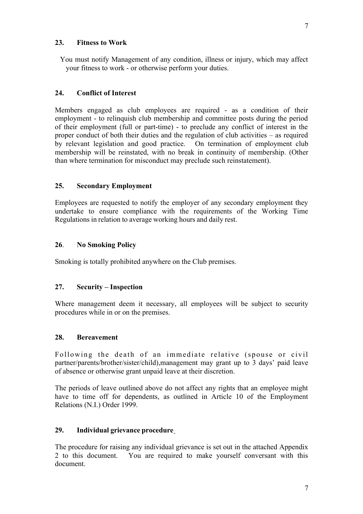#### **23. Fitness to Work**

 You must notify Management of any condition, illness or injury, which may affect your fitness to work - or otherwise perform your duties.

# **24. Conflict of Interest**

Members engaged as club employees are required - as a condition of their employment - to relinquish club membership and committee posts during the period of their employment (full or part-time) - to preclude any conflict of interest in the proper conduct of both their duties and the regulation of club activities – as required by relevant legislation and good practice. On termination of employment club membership will be reinstated, with no break in continuity of membership. (Other than where termination for misconduct may preclude such reinstatement).

#### **25. Secondary Employment**

Employees are requested to notify the employer of any secondary employment they undertake to ensure compliance with the requirements of the Working Time Regulations in relation to average working hours and daily rest.

#### **26**. **No Smoking Policy**

Smoking is totally prohibited anywhere on the Club premises.

#### **27. Security – Inspection**

Where management deem it necessary, all employees will be subject to security procedures while in or on the premises.

#### **28. Bereavement**

Following the death of an immediate relative (spouse or civil partner/parents/brother/sister/child),management may grant up to 3 days' paid leave of absence or otherwise grant unpaid leave at their discretion.

The periods of leave outlined above do not affect any rights that an employee might have to time off for dependents, as outlined in Article 10 of the Employment Relations (N.I.) Order 1999.

#### **29. Individual grievance procedure**

The procedure for raising any individual grievance is set out in the attached Appendix 2 to this document. You are required to make yourself conversant with this document.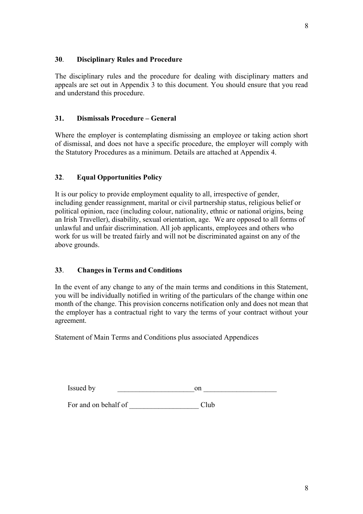# **30**. **Disciplinary Rules and Procedure**

The disciplinary rules and the procedure for dealing with disciplinary matters and appeals are set out in Appendix 3 to this document. You should ensure that you read and understand this procedure.

#### **31. Dismissals Procedure – General**

Where the employer is contemplating dismissing an employee or taking action short of dismissal, and does not have a specific procedure, the employer will comply with the Statutory Procedures as a minimum. Details are attached at Appendix 4.

#### **32**. **Equal Opportunities Policy**

It is our policy to provide employment equality to all, irrespective of gender, including gender reassignment, marital or civil partnership status, religious belief or political opinion, race (including colour, nationality, ethnic or national origins, being an Irish Traveller), disability, sexual orientation, age. We are opposed to all forms of unlawful and unfair discrimination. All job applicants, employees and others who work for us will be treated fairly and will not be discriminated against on any of the above grounds.

#### **33**. **Changes in Terms and Conditions**

In the event of any change to any of the main terms and conditions in this Statement, you will be individually notified in writing of the particulars of the change within one month of the change. This provision concerns notification only and does not mean that the employer has a contractual right to vary the terms of your contract without your agreement.

Statement of Main Terms and Conditions plus associated Appendices

| $\overline{\phantom{a}}$<br><i>issuec</i><br>hv<br>$-10.00$ $-10.00$ $-10.00$ | $\sim$ 10<br>- 11 |
|-------------------------------------------------------------------------------|-------------------|
|                                                                               |                   |

For and on behalf of \_\_\_\_\_\_\_\_\_\_\_\_\_\_\_\_\_\_\_ Club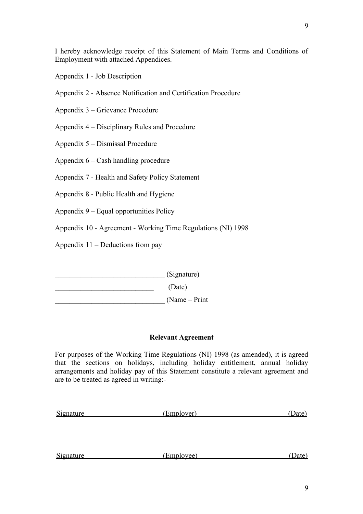I hereby acknowledge receipt of this Statement of Main Terms and Conditions of Employment with attached Appendices.

Appendix 1 - Job Description

Appendix 2 - Absence Notification and Certification Procedure

Appendix 3 – Grievance Procedure

Appendix 4 – Disciplinary Rules and Procedure

Appendix 5 – Dismissal Procedure

Appendix 6 – Cash handling procedure

Appendix 7 - Health and Safety Policy Statement

Appendix 8 - Public Health and Hygiene

Appendix 9 – Equal opportunities Policy

Appendix 10 - Agreement - Working Time Regulations (NI) 1998

Appendix 11 – Deductions from pay

\_\_\_\_\_\_\_\_\_\_\_\_\_\_\_\_\_\_\_\_\_\_\_\_\_\_\_\_\_\_ (Signature)  $\overline{\phantom{a}}$  (Date)

\_\_\_\_\_\_\_\_\_\_\_\_\_\_\_\_\_\_\_\_\_\_\_\_\_\_\_\_\_\_ (Name – Print

# **Relevant Agreement**

For purposes of the Working Time Regulations (NI) 1998 (as amended), it is agreed that the sections on holidays, including holiday entitlement, annual holiday arrangements and holiday pay of this Statement constitute a relevant agreement and are to be treated as agreed in writing:-

| Signature | (Employer) | - Jater |
|-----------|------------|---------|
|           |            |         |

| Signature | (Employee) |  |
|-----------|------------|--|
|           |            |  |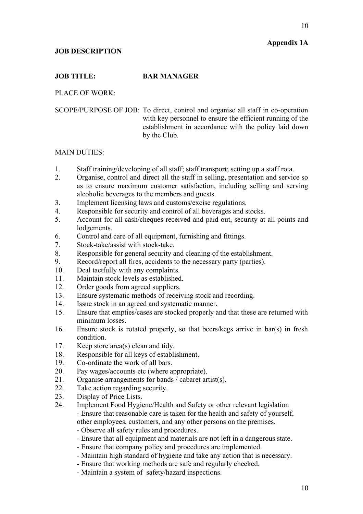# **Appendix 1A**

10

#### **JOB DESCRIPTION**

#### **JOB TITLE: BAR MANAGER**

PLACE OF WORK:

SCOPE/PURPOSE OF JOB: To direct, control and organise all staff in co-operation with key personnel to ensure the efficient running of the establishment in accordance with the policy laid down by the Club.

#### MAIN DUTIES:

- 1. Staff training/developing of all staff; staff transport; setting up a staff rota.
- 2. Organise, control and direct all the staff in selling, presentation and service so as to ensure maximum customer satisfaction, including selling and serving alcoholic beverages to the members and guests.
- 3. Implement licensing laws and customs/excise regulations.
- 4. Responsible for security and control of all beverages and stocks.
- 5. Account for all cash/cheques received and paid out, security at all points and lodgements.
- 6. Control and care of all equipment, furnishing and fittings.
- 7. Stock-take/assist with stock-take.
- 8. Responsible for general security and cleaning of the establishment.
- 9. Record/report all fires, accidents to the necessary party (parties).
- 10. Deal tactfully with any complaints.
- 11. Maintain stock levels as established.
- 12. Order goods from agreed suppliers.
- 13. Ensure systematic methods of receiving stock and recording.
- 14. Issue stock in an agreed and systematic manner.
- 15. Ensure that empties/cases are stocked properly and that these are returned with minimum losses.
- 16. Ensure stock is rotated properly, so that beers/kegs arrive in bar(s) in fresh condition.
- 17. Keep store area(s) clean and tidy.
- 18. Responsible for all keys of establishment.
- 19. Co-ordinate the work of all bars.
- 20. Pay wages/accounts etc (where appropriate).
- 21. Organise arrangements for bands / cabaret artist(s).
- 22. Take action regarding security.
- 23. Display of Price Lists.
- 24. Implement Food Hygiene/Health and Safety or other relevant legislation - Ensure that reasonable care is taken for the health and safety of yourself, other employees, customers, and any other persons on the premises.
	- Observe all safety rules and procedures.
	- Ensure that all equipment and materials are not left in a dangerous state.
	- Ensure that company policy and procedures are implemented.
	- Maintain high standard of hygiene and take any action that is necessary.
	- Ensure that working methods are safe and regularly checked.
	- Maintain a system of safety/hazard inspections.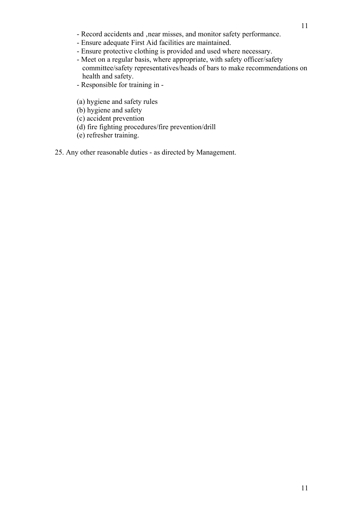- Record accidents and , near misses, and monitor safety performance.
- Ensure adequate First Aid facilities are maintained.
- Ensure protective clothing is provided and used where necessary.
- Meet on a regular basis, where appropriate, with safety officer/safety committee/safety representatives/heads of bars to make recommendations on health and safety.
- Responsible for training in -
- (a) hygiene and safety rules
- (b) hygiene and safety
- (c) accident prevention
- (d) fire fighting procedures/fire prevention/drill
- (e) refresher training.
- 25. Any other reasonable duties as directed by Management.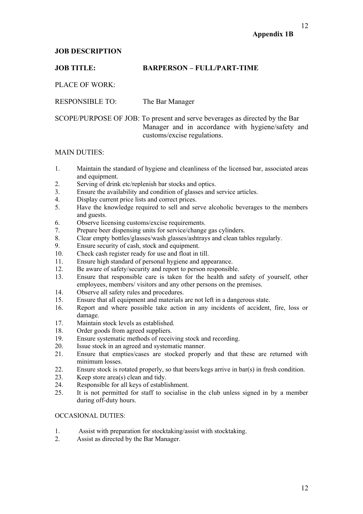# **Appendix 1B**

# **JOB DESCRIPTION**

# **JOB TITLE: BARPERSON – FULL/PART-TIME**

PLACE OF WORK:

RESPONSIBLE TO: The Bar Manager

SCOPE/PURPOSE OF JOB: To present and serve beverages as directed by the Bar Manager and in accordance with hygiene/safety and customs/excise regulations.

#### MAIN DUTIES:

- 1. Maintain the standard of hygiene and cleanliness of the licensed bar, associated areas and equipment.
- 2. Serving of drink etc/replenish bar stocks and optics.
- 3. Ensure the availability and condition of glasses and service articles.
- 4. Display current price lists and correct prices.
- 5. Have the knowledge required to sell and serve alcoholic beverages to the members and guests.
- 6. Observe licensing customs/excise requirements.
- 7. Prepare beer dispensing units for service/change gas cylinders.
- 8. Clear empty bottles/glasses/wash glasses/ashtrays and clean tables regularly.
- 9. Ensure security of cash, stock and equipment.
- 10. Check cash register ready for use and float in till.
- 11. Ensure high standard of personal hygiene and appearance.
- 12. Be aware of safety/security and report to person responsible.
- 13. Ensure that responsible care is taken for the health and safety of yourself, other employees, members/ visitors and any other persons on the premises.
- 14. Observe all safety rules and procedures.
- 15. Ensure that all equipment and materials are not left in a dangerous state.
- 16. Report and where possible take action in any incidents of accident, fire, loss or damage.
- 17. Maintain stock levels as established.
- 18. Order goods from agreed suppliers.
- 19. Ensure systematic methods of receiving stock and recording.
- 20. Issue stock in an agreed and systematic manner.
- 21. Ensure that empties/cases are stocked properly and that these are returned with minimum losses.
- 22. Ensure stock is rotated properly, so that beers/kegs arrive in bar(s) in fresh condition.
- 23. Keep store area(s) clean and tidy.
- 24. Responsible for all keys of establishment.
- 25. It is not permitted for staff to socialise in the club unless signed in by a member during off-duty hours.

#### OCCASIONAL DUTIES:

- 1. Assist with preparation for stocktaking/assist with stocktaking.
- 2. Assist as directed by the Bar Manager.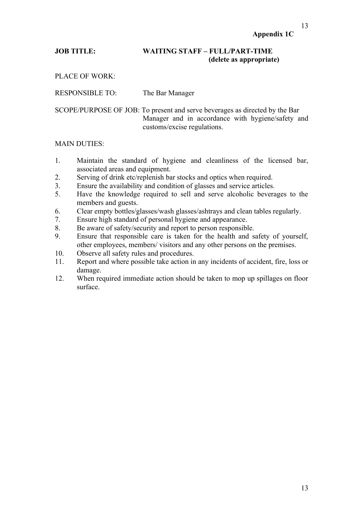# **JOB TITLE: WAITING STAFF – FULL/PART-TIME (delete as appropriate)**

PLACE OF WORK:

RESPONSIBLE TO: The Bar Manager

SCOPE/PURPOSE OF JOB: To present and serve beverages as directed by the Bar Manager and in accordance with hygiene/safety and customs/excise regulations.

#### MAIN DUTIES:

- 1. Maintain the standard of hygiene and cleanliness of the licensed bar, associated areas and equipment.
- 2. Serving of drink etc/replenish bar stocks and optics when required.
- 3. Ensure the availability and condition of glasses and service articles.
- 5. Have the knowledge required to sell and serve alcoholic beverages to the members and guests.
- 6. Clear empty bottles/glasses/wash glasses/ashtrays and clean tables regularly.
- 7. Ensure high standard of personal hygiene and appearance.
- 8. Be aware of safety/security and report to person responsible.
- 9. Ensure that responsible care is taken for the health and safety of yourself, other employees, members/ visitors and any other persons on the premises.
- 10. Observe all safety rules and procedures.
- 11. Report and where possible take action in any incidents of accident, fire, loss or damage.
- 12. When required immediate action should be taken to mop up spillages on floor surface.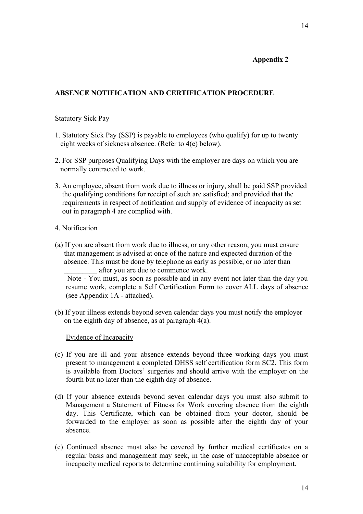# **Appendix 2**

# **ABSENCE NOTIFICATION AND CERTIFICATION PROCEDURE**

#### Statutory Sick Pay

- 1. Statutory Sick Pay (SSP) is payable to employees (who qualify) for up to twenty eight weeks of sickness absence. (Refer to 4(e) below).
- 2. For SSP purposes Qualifying Days with the employer are days on which you are normally contracted to work.
- 3. An employee, absent from work due to illness or injury, shall be paid SSP provided the qualifying conditions for receipt of such are satisfied; and provided that the requirements in respect of notification and supply of evidence of incapacity as set out in paragraph 4 are complied with.

#### 4. Notification

(a) If you are absent from work due to illness, or any other reason, you must ensure that management is advised at once of the nature and expected duration of the absence. This must be done by telephone as early as possible, or no later than after you are due to commence work.

 Note - You must, as soon as possible and in any event not later than the day you resume work, complete a Self Certification Form to cover ALL days of absence (see Appendix 1A - attached).

(b) If your illness extends beyond seven calendar days you must notify the employer on the eighth day of absence, as at paragraph 4(a).

Evidence of Incapacity

- (c) If you are ill and your absence extends beyond three working days you must present to management a completed DHSS self certification form SC2. This form is available from Doctors' surgeries and should arrive with the employer on the fourth but no later than the eighth day of absence.
- (d) If your absence extends beyond seven calendar days you must also submit to Management a Statement of Fitness for Work covering absence from the eighth day. This Certificate, which can be obtained from your doctor, should be forwarded to the employer as soon as possible after the eighth day of your absence.
- (e) Continued absence must also be covered by further medical certificates on a regular basis and management may seek, in the case of unacceptable absence or incapacity medical reports to determine continuing suitability for employment.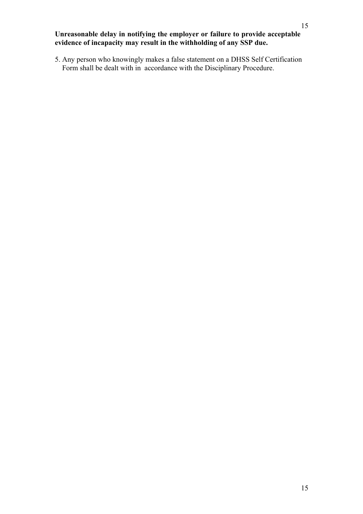# **Unreasonable delay in notifying the employer or failure to provide acceptable evidence of incapacity may result in the withholding of any SSP due.**

5. Any person who knowingly makes a false statement on a DHSS Self Certification Form shall be dealt with in accordance with the Disciplinary Procedure.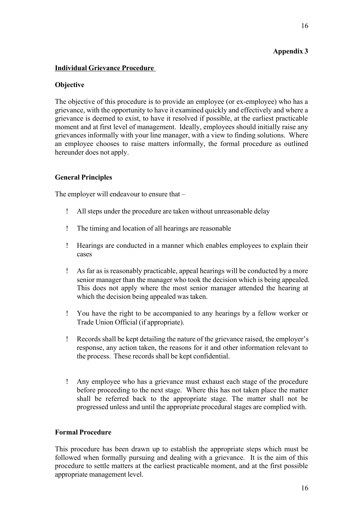# **Appendix 3**

# **Individual Grievance Procedure**

#### **Objective**

The objective of this procedure is to provide an employee (or ex-employee) who has a grievance, with the opportunity to have it examined quickly and effectively and where a grievance is deemed to exist, to have it resolved if possible, at the earliest practicable moment and at first level of management. Ideally, employees should initially raise any grievances informally with your line manager, with a view to finding solutions. Where an employee chooses to raise matters informally, the formal procedure as outlined hereunder does not apply.

#### **General Principles**

The employer will endeavour to ensure that –

- All steps under the procedure are taken without unreasonable delay
- The timing and location of all hearings are reasonable
- Hearings are conducted in a manner which enables employees to explain their cases
- As far as is reasonably practicable, appeal hearings will be conducted by a more senior manager than the manager who took the decision which is being appealed. This does not apply where the most senior manager attended the hearing at which the decision being appealed was taken.
- You have the right to be accompanied to any hearings by a fellow worker or Trade Union Official (if appropriate).
- Records shall be kept detailing the nature of the grievance raised, the employer's response, any action taken, the reasons for it and other information relevant to the process. These records shall be kept confidential.
- Any employee who has a grievance must exhaust each stage of the procedure before proceeding to the next stage. Where this has not taken place the matter shall be referred back to the appropriate stage. The matter shall not be progressed unless and until the appropriate procedural stages are complied with.

#### **Formal Procedure**

This procedure has been drawn up to establish the appropriate steps which must be followed when formally pursuing and dealing with a grievance. It is the aim of this procedure to settle matters at the earliest practicable moment, and at the first possible appropriate management level.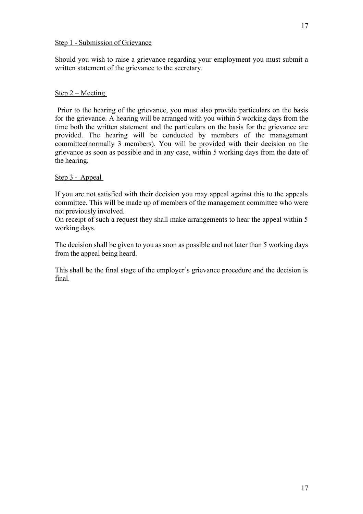Should you wish to raise a grievance regarding your employment you must submit a written statement of the grievance to the secretary.

# Step 2 – Meeting

 Prior to the hearing of the grievance, you must also provide particulars on the basis for the grievance. A hearing will be arranged with you within 5 working days from the time both the written statement and the particulars on the basis for the grievance are provided. The hearing will be conducted by members of the management committee(normally 3 members). You will be provided with their decision on the grievance as soon as possible and in any case, within 5 working days from the date of the hearing.

#### Step 3 - Appeal

If you are not satisfied with their decision you may appeal against this to the appeals committee. This will be made up of members of the management committee who were not previously involved.

On receipt of such a request they shall make arrangements to hear the appeal within 5 working days.

The decision shall be given to you as soon as possible and not later than 5 working days from the appeal being heard.

This shall be the final stage of the employer's grievance procedure and the decision is final.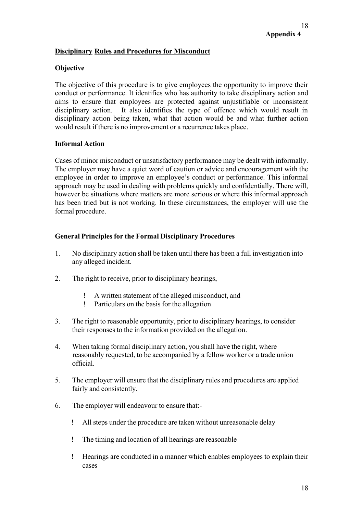# **Disciplinary Rules and Procedures for Misconduct**

# **Objective**

The objective of this procedure is to give employees the opportunity to improve their conduct or performance. It identifies who has authority to take disciplinary action and aims to ensure that employees are protected against unjustifiable or inconsistent disciplinary action. It also identifies the type of offence which would result in disciplinary action being taken, what that action would be and what further action would result if there is no improvement or a recurrence takes place.

#### **Informal Action**

Cases of minor misconduct or unsatisfactory performance may be dealt with informally. The employer may have a quiet word of caution or advice and encouragement with the employee in order to improve an employee's conduct or performance. This informal approach may be used in dealing with problems quickly and confidentially. There will, however be situations where matters are more serious or where this informal approach has been tried but is not working. In these circumstances, the employer will use the formal procedure.

#### **General Principles for the Formal Disciplinary Procedures**

- 1. No disciplinary action shall be taken until there has been a full investigation into any alleged incident.
- 2. The right to receive, prior to disciplinary hearings,
	- A written statement of the alleged misconduct, and
	- Particulars on the basis for the allegation
- 3. The right to reasonable opportunity, prior to disciplinary hearings, to consider their responses to the information provided on the allegation.
- 4. When taking formal disciplinary action, you shall have the right, where reasonably requested, to be accompanied by a fellow worker or a trade union official.
- 5. The employer will ensure that the disciplinary rules and procedures are applied fairly and consistently.
- 6. The employer will endeavour to ensure that:-
	- All steps under the procedure are taken without unreasonable delay
	- The timing and location of all hearings are reasonable
	- Hearings are conducted in a manner which enables employees to explain their cases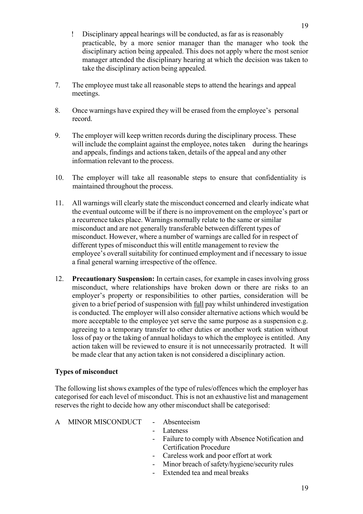7. The employee must take all reasonable steps to attend the hearings and appeal meetings.

take the disciplinary action being appealed.

manager attended the disciplinary hearing at which the decision was taken to

- 8. Once warnings have expired they will be erased from the employee's personal record.
- 9. The employer will keep written records during the disciplinary process. These will include the complaint against the employee, notes taken during the hearings and appeals, findings and actions taken, details of the appeal and any other information relevant to the process.
- 10. The employer will take all reasonable steps to ensure that confidentiality is maintained throughout the process.
- 11. All warnings will clearly state the misconduct concerned and clearly indicate what the eventual outcome will be if there is no improvement on the employee's part or a recurrence takes place. Warnings normally relate to the same or similar misconduct and are not generally transferable between different types of misconduct. However, where a number of warnings are called for in respect of different types of misconduct this will entitle management to review the employee's overall suitability for continued employment and if necessary to issue a final general warning irrespective of the offence.
- 12. **Precautionary Suspension:** In certain cases, for example in cases involving gross misconduct, where relationships have broken down or there are risks to an employer's property or responsibilities to other parties, consideration will be given to a brief period of suspension with full pay whilst unhindered investigation is conducted. The employer will also consider alternative actions which would be more acceptable to the employee yet serve the same purpose as a suspension e.g. agreeing to a temporary transfer to other duties or another work station without loss of pay or the taking of annual holidays to which the employee is entitled. Any action taken will be reviewed to ensure it is not unnecessarily protracted. It will be made clear that any action taken is not considered a disciplinary action.

# **Types of misconduct**

The following list shows examples of the type of rules/offences which the employer has categorised for each level of misconduct. This is not an exhaustive list and management reserves the right to decide how any other misconduct shall be categorised:

- A MINOR MISCONDUCT Absenteeism
	-
	- **Lateness**
	- Failure to comply with Absence Notification and Certification Procedure
	- Careless work and poor effort at work
	- Minor breach of safety/hygiene/security rules
	- Extended tea and meal breaks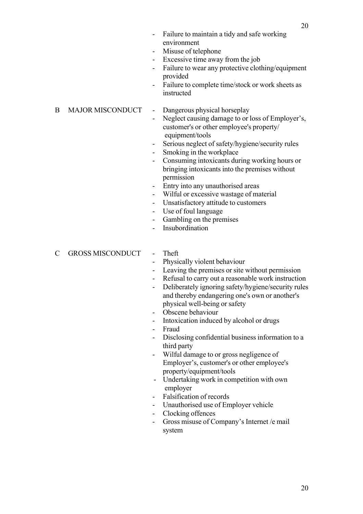- Misuse of telephone
- Excessive time away from the job
- Failure to wear any protective clothing/equipment provided
- Failure to complete time/stock or work sheets as instructed

B MAJOR MISCONDUCT - Dangerous physical horseplay

- Neglect causing damage to or loss of Employer's, customer's or other employee's property/
	- equipment/tools
	- Serious neglect of safety/hygiene/security rules
	- Smoking in the workplace
	- Consuming intoxicants during working hours or bringing intoxicants into the premises without permission
	- Entry into any unauthorised areas
	- Wilful or excessive wastage of material
- Unsatisfactory attitude to customers
- Use of foul language
- Gambling on the premises
- Insubordination

C GROSS MISCONDUCT - Theft

- 
- Physically violent behaviour
- Leaving the premises or site without permission
- Refusal to carry out a reasonable work instruction
- Deliberately ignoring safety/hygiene/security rules and thereby endangering one's own or another's physical well-being or safety
- Obscene behaviour
- Intoxication induced by alcohol or drugs
- Fraud
- Disclosing confidential business information to a third party
- Wilful damage to or gross negligence of Employer's, customer's or other employee's property/equipment/tools
- Undertaking work in competition with own employer
- Falsification of records
- Unauthorised use of Employer vehicle
- Clocking offences
- Gross misuse of Company's Internet /e mail system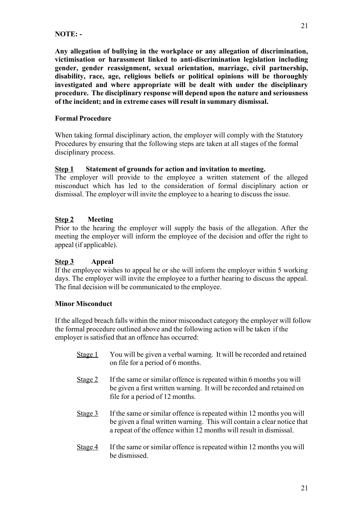#### **NOTE: -**

**Any allegation of bullying in the workplace or any allegation of discrimination, victimisation or harassment linked to anti-discrimination legislation including gender, gender reassignment, sexual orientation, marriage, civil partnership, disability, race, age, religious beliefs or political opinions will be thoroughly investigated and where appropriate will be dealt with under the disciplinary procedure. The disciplinary response will depend upon the nature and seriousness of the incident; and in extreme cases will result in summary dismissal.**

#### **Formal Procedure**

When taking formal disciplinary action, the employer will comply with the Statutory Procedures by ensuring that the following steps are taken at all stages of the formal disciplinary process.

#### **Step 1 Statement of grounds for action and invitation to meeting.**

The employer will provide to the employee a written statement of the alleged misconduct which has led to the consideration of formal disciplinary action or dismissal. The employer will invite the employee to a hearing to discuss the issue.

# **Step 2 Meeting**

Prior to the hearing the employer will supply the basis of the allegation. After the meeting the employer will inform the employee of the decision and offer the right to appeal (if applicable).

# **Step 3 Appeal**

If the employee wishes to appeal he or she will inform the employer within 5 working days. The employer will invite the employee to a further hearing to discuss the appeal. The final decision will be communicated to the employee.

# **Minor Misconduct**

If the alleged breach falls within the minor misconduct category the employer will follow the formal procedure outlined above and the following action will be taken if the employer is satisfied that an offence has occurred:

- Stage 1 You will be given a verbal warning. It will be recorded and retained on file for a period of 6 months.
- Stage 2 If the same or similar offence is repeated within 6 months you will be given a first written warning. It will be recorded and retained on file for a period of 12 months.
- Stage 3 If the same or similar offence is repeated within 12 months you will be given a final written warning. This will contain a clear notice that a repeat of the offence within 12 months will result in dismissal.
- Stage 4 If the same or similar offence is repeated within 12 months you will be dismissed.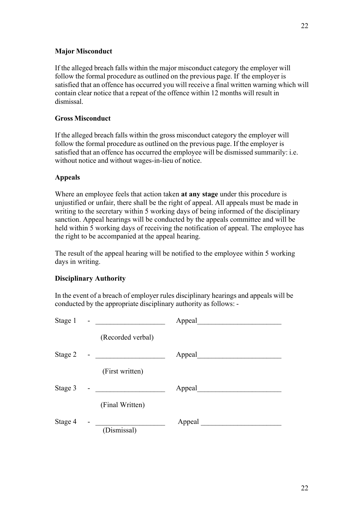If the alleged breach falls within the major misconduct category the employer will follow the formal procedure as outlined on the previous page. If the employer is satisfied that an offence has occurred you will receive a final written warning which will contain clear notice that a repeat of the offence within 12 months will result in dismissal.

#### **Gross Misconduct**

If the alleged breach falls within the gross misconduct category the employer will follow the formal procedure as outlined on the previous page. If the employer is satisfied that an offence has occurred the employee will be dismissed summarily: i.e. without notice and without wages-in-lieu of notice.

#### **Appeals**

Where an employee feels that action taken **at any stage** under this procedure is unjustified or unfair, there shall be the right of appeal. All appeals must be made in writing to the secretary within 5 working days of being informed of the disciplinary sanction. Appeal hearings will be conducted by the appeals committee and will be held within 5 working days of receiving the notification of appeal. The employee has the right to be accompanied at the appeal hearing.

The result of the appeal hearing will be notified to the employee within 5 working days in writing.

# **Disciplinary Authority**

In the event of a breach of employer rules disciplinary hearings and appeals will be conducted by the appropriate disciplinary authority as follows: -

|                   | Appeal                          |
|-------------------|---------------------------------|
| (Recorded verbal) |                                 |
|                   | Appeal                          |
| (First written)   |                                 |
|                   | Appeal                          |
| (Final Written)   |                                 |
| (Dismissal)       | Appeal $\overline{\phantom{a}}$ |
|                   |                                 |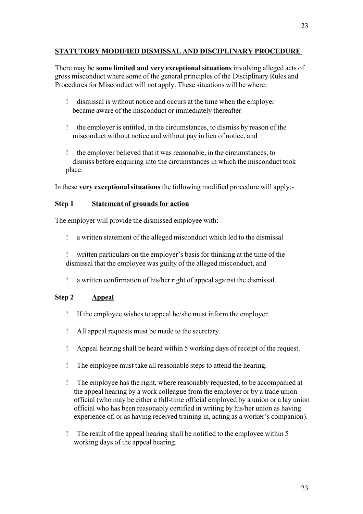# **STATUTORY MODIFIED DISMISSAL AND DISCIPLINARY PROCEDURE**

There may be **some limited and very exceptional situations** involving alleged acts of gross misconduct where some of the general principles of the Disciplinary Rules and Procedures for Misconduct will not apply. These situations will be where:

- dismissal is without notice and occurs at the time when the employer became aware of the misconduct or immediately thereafter
- the employer is entitled, in the circumstances, to dismiss by reason of the misconduct without notice and without pay in lieu of notice, and
- the employer believed that it was reasonable, in the circumstances, to dismiss before enquiring into the circumstances in which the misconduct took place.

In these **very exceptional situations** the following modified procedure will apply:-

#### **Step 1 Statement of grounds for action**

The employer will provide the dismissed employee with:-

a written statement of the alleged misconduct which led to the dismissal

 written particulars on the employer's basis for thinking at the time of the dismissal that the employee was guilty of the alleged misconduct, and

a written confirmation of his/her right of appeal against the dismissal.

# **Step 2 Appeal**

- If the employee wishes to appeal he/she must inform the employer.
- All appeal requests must be made to the secretary.
- Appeal hearing shall be heard within 5 working days of receipt of the request.
- The employee must take all reasonable steps to attend the hearing.
- The employee has the right, where reasonably requested, to be accompanied at the appeal hearing by a work colleague from the employer or by a trade union official (who may be either a full-time official employed by a union or a lay union official who has been reasonably certified in writing by his/her union as having experience of, or as having received training in, acting as a worker's companion).
- The result of the appeal hearing shall be notified to the employee within 5 working days of the appeal hearing.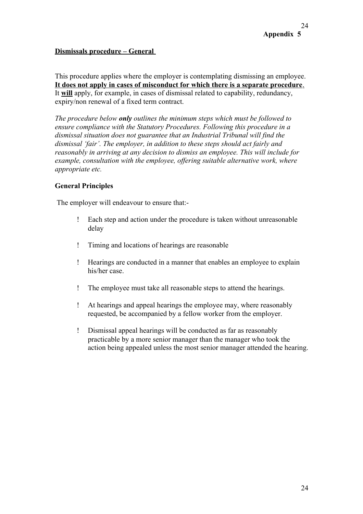# **Dismissals procedure – General**

This procedure applies where the employer is contemplating dismissing an employee.  **It does not apply in cases of misconduct for which there is a separate procedure**. It **will** apply, for example, in cases of dismissal related to capability, redundancy, expiry/non renewal of a fixed term contract.

*The procedure below only outlines the minimum steps which must be followed to ensure compliance with the Statutory Procedures. Following this procedure in a dismissal situation does not guarantee that an Industrial Tribunal will find the dismissal 'fair'. The employer, in addition to these steps should act fairly and reasonably in arriving at any decision to dismiss an employee. This will include for example, consultation with the employee, offering suitable alternative work, where appropriate etc.*

#### **General Principles**

The employer will endeavour to ensure that:-

- Each step and action under the procedure is taken without unreasonable delay
- Timing and locations of hearings are reasonable
- Hearings are conducted in a manner that enables an employee to explain his/her case.
- The employee must take all reasonable steps to attend the hearings.
- At hearings and appeal hearings the employee may, where reasonably requested, be accompanied by a fellow worker from the employer.
- Dismissal appeal hearings will be conducted as far as reasonably practicable by a more senior manager than the manager who took the action being appealed unless the most senior manager attended the hearing.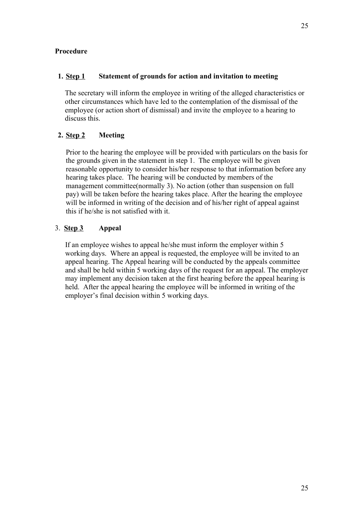#### **1. Step 1 Statement of grounds for action and invitation to meeting**

The secretary will inform the employee in writing of the alleged characteristics or other circumstances which have led to the contemplation of the dismissal of the employee (or action short of dismissal) and invite the employee to a hearing to discuss this.

# **2. Step 2 Meeting**

Prior to the hearing the employee will be provided with particulars on the basis for the grounds given in the statement in step 1. The employee will be given reasonable opportunity to consider his/her response to that information before any hearing takes place. The hearing will be conducted by members of the management committee(normally 3). No action (other than suspension on full pay) will be taken before the hearing takes place. After the hearing the employee will be informed in writing of the decision and of his/her right of appeal against this if he/she is not satisfied with it.

# 3. **Step 3 Appeal**

If an employee wishes to appeal he/she must inform the employer within 5 working days. Where an appeal is requested, the employee will be invited to an appeal hearing. The Appeal hearing will be conducted by the appeals committee and shall be held within 5 working days of the request for an appeal. The employer may implement any decision taken at the first hearing before the appeal hearing is held. After the appeal hearing the employee will be informed in writing of the employer's final decision within 5 working days.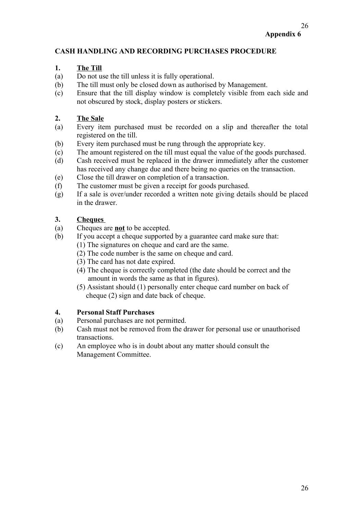# **CASH HANDLING AND RECORDING PURCHASES PROCEDURE**

#### **1. The Till**

- (a) Do not use the till unless it is fully operational.
- (b) The till must only be closed down as authorised by Management.
- (c) Ensure that the till display window is completely visible from each side and not obscured by stock, display posters or stickers.

# **2. The Sale**

- (a) Every item purchased must be recorded on a slip and thereafter the total registered on the till.
- (b) Every item purchased must be rung through the appropriate key.
- (c) The amount registered on the till must equal the value of the goods purchased.
- (d) Cash received must be replaced in the drawer immediately after the customer has received any change due and there being no queries on the transaction.
- (e) Close the till drawer on completion of a transaction.
- (f) The customer must be given a receipt for goods purchased.
- (g) If a sale is over/under recorded a written note giving details should be placed in the drawer.

# **3. Cheques**

- (a) Cheques are **not** to be accepted.
- (b) If you accept a cheque supported by a guarantee card make sure that:
	- (1) The signatures on cheque and card are the same.
	- (2) The code number is the same on cheque and card.
	- (3) The card has not date expired.
	- (4) The cheque is correctly completed (the date should be correct and the amount in words the same as that in figures).
	- (5) Assistant should (1) personally enter cheque card number on back of cheque (2) sign and date back of cheque.

#### **4. Personal Staff Purchases**

- (a) Personal purchases are not permitted.
- (b) Cash must not be removed from the drawer for personal use or unauthorised transactions.
- (c) An employee who is in doubt about any matter should consult the Management Committee.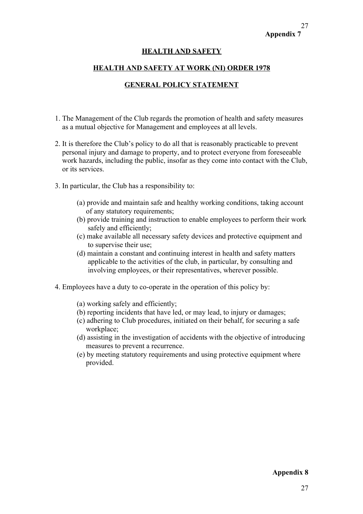# **Appendix 7** 27

#### **HEALTH AND SAFETY**

#### **HEALTH AND SAFETY AT WORK (NI) ORDER 1978**

#### **GENERAL POLICY STATEMENT**

- 1. The Management of the Club regards the promotion of health and safety measures as a mutual objective for Management and employees at all levels.
- 2. It is therefore the Club's policy to do all that is reasonably practicable to prevent personal injury and damage to property, and to protect everyone from foreseeable work hazards, including the public, insofar as they come into contact with the Club, or its services.
- 3. In particular, the Club has a responsibility to:
	- (a) provide and maintain safe and healthy working conditions, taking account of any statutory requirements;
	- (b) provide training and instruction to enable employees to perform their work safely and efficiently;
	- (c) make available all necessary safety devices and protective equipment and to supervise their use;
	- (d) maintain a constant and continuing interest in health and safety matters applicable to the activities of the club, in particular, by consulting and involving employees, or their representatives, wherever possible.
- 4. Employees have a duty to co-operate in the operation of this policy by:
	- (a) working safely and efficiently;
	- (b) reporting incidents that have led, or may lead, to injury or damages;
	- (c) adhering to Club procedures, initiated on their behalf, for securing a safe workplace;
	- (d) assisting in the investigation of accidents with the objective of introducing measures to prevent a recurrence.
	- (e) by meeting statutory requirements and using protective equipment where provided.

#### **Appendix 8**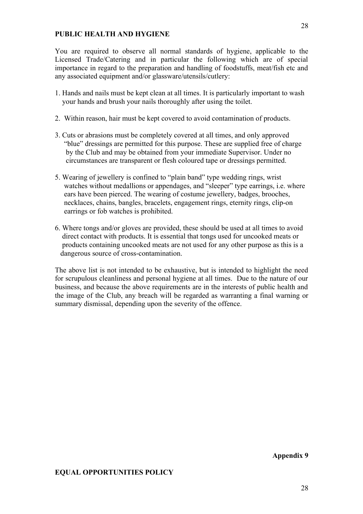#### **PUBLIC HEALTH AND HYGIENE**

You are required to observe all normal standards of hygiene, applicable to the Licensed Trade/Catering and in particular the following which are of special importance in regard to the preparation and handling of foodstuffs, meat/fish etc and any associated equipment and/or glassware/utensils/cutlery:

- 1. Hands and nails must be kept clean at all times. It is particularly important to wash your hands and brush your nails thoroughly after using the toilet.
- 2. Within reason, hair must be kept covered to avoid contamination of products.
- 3. Cuts or abrasions must be completely covered at all times, and only approved "blue" dressings are permitted for this purpose. These are supplied free of charge by the Club and may be obtained from your immediate Supervisor. Under no circumstances are transparent or flesh coloured tape or dressings permitted.
- 5. Wearing of jewellery is confined to "plain band" type wedding rings, wrist watches without medallions or appendages, and "sleeper" type earrings, i.e. where ears have been pierced. The wearing of costume jewellery, badges, brooches, necklaces, chains, bangles, bracelets, engagement rings, eternity rings, clip-on earrings or fob watches is prohibited.
- 6. Where tongs and/or gloves are provided, these should be used at all times to avoid direct contact with products. It is essential that tongs used for uncooked meats or products containing uncooked meats are not used for any other purpose as this is a dangerous source of cross-contamination.

The above list is not intended to be exhaustive, but is intended to highlight the need for scrupulous cleanliness and personal hygiene at all times. Due to the nature of our business, and because the above requirements are in the interests of public health and the image of the Club, any breach will be regarded as warranting a final warning or summary dismissal, depending upon the severity of the offence.

#### **Appendix 9**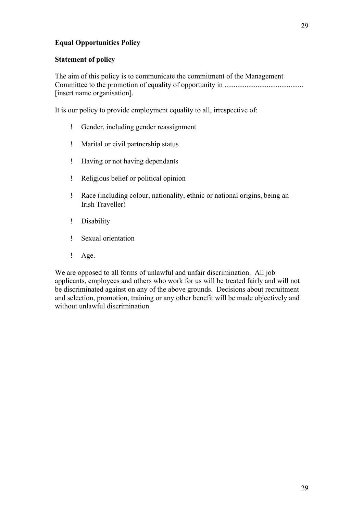# **Equal Opportunities Policy**

#### **Statement of policy**

The aim of this policy is to communicate the commitment of the Management Committee to the promotion of equality of opportunity in ........................................... [insert name organisation].

It is our policy to provide employment equality to all, irrespective of:

- Gender, including gender reassignment
- Marital or civil partnership status
- Having or not having dependants
- Religious belief or political opinion
- Race (including colour, nationality, ethnic or national origins, being an Irish Traveller)
- Disability
- Sexual orientation
- ! Age.

We are opposed to all forms of unlawful and unfair discrimination. All job applicants, employees and others who work for us will be treated fairly and will not be discriminated against on any of the above grounds. Decisions about recruitment and selection, promotion, training or any other benefit will be made objectively and without unlawful discrimination.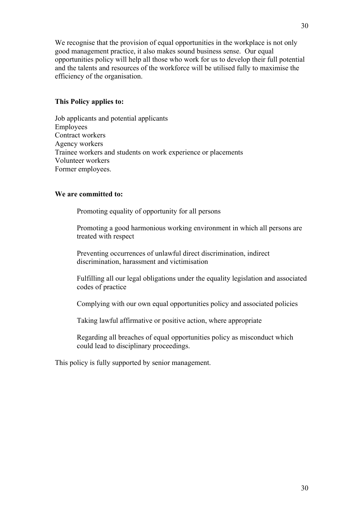We recognise that the provision of equal opportunities in the workplace is not only good management practice, it also makes sound business sense. Our equal opportunities policy will help all those who work for us to develop their full potential and the talents and resources of the workforce will be utilised fully to maximise the efficiency of the organisation.

#### **This Policy applies to:**

Job applicants and potential applicants Employees Contract workers Agency workers Trainee workers and students on work experience or placements Volunteer workers Former employees.

#### **We are committed to:**

Promoting equality of opportunity for all persons

Promoting a good harmonious working environment in which all persons are treated with respect

Preventing occurrences of unlawful direct discrimination, indirect discrimination, harassment and victimisation

Fulfilling all our legal obligations under the equality legislation and associated codes of practice

Complying with our own equal opportunities policy and associated policies

Taking lawful affirmative or positive action, where appropriate

Regarding all breaches of equal opportunities policy as misconduct which could lead to disciplinary proceedings.

This policy is fully supported by senior management.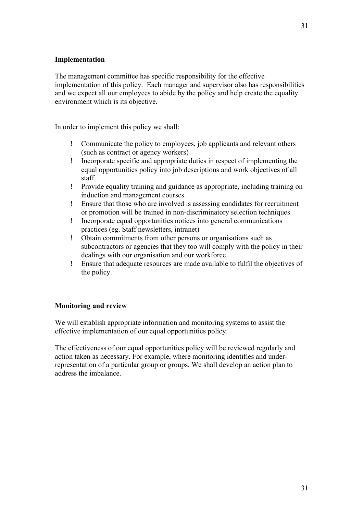# **Implementation**

The management committee has specific responsibility for the effective implementation of this policy. Each manager and supervisor also has responsibilities and we expect all our employees to abide by the policy and help create the equality environment which is its objective.

In order to implement this policy we shall:

- Communicate the policy to employees, job applicants and relevant others (such as contract or agency workers)
- Incorporate specific and appropriate duties in respect of implementing the equal opportunities policy into job descriptions and work objectives of all staff
- Provide equality training and guidance as appropriate, including training on induction and management courses.
- Ensure that those who are involved is assessing candidates for recruitment or promotion will be trained in non-discriminatory selection techniques
- Incorporate equal opportunities notices into general communications practices (eg. Staff newsletters, intranet)
- Obtain commitments from other persons or organisations such as subcontractors or agencies that they too will comply with the policy in their dealings with our organisation and our workforce
- Ensure that adequate resources are made available to fulfil the objectives of the policy.

# **Monitoring and review**

We will establish appropriate information and monitoring systems to assist the effective implementation of our equal opportunities policy.

The effectiveness of our equal opportunities policy will be reviewed regularly and action taken as necessary. For example, where monitoring identifies and underrepresentation of a particular group or groups. We shall develop an action plan to address the imbalance.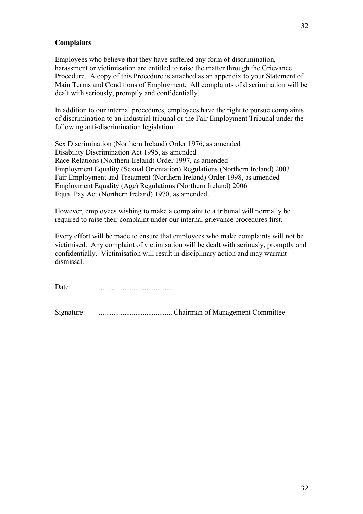#### **Complaints**

Employees who believe that they have suffered any form of discrimination, harassment or victimisation are entitled to raise the matter through the Grievance Procedure. A copy of this Procedure is attached as an appendix to your Statement of Main Terms and Conditions of Employment. All complaints of discrimination will be dealt with seriously, promptly and confidentially.

In addition to our internal procedures, employees have the right to pursue complaints of discrimination to an industrial tribunal or the Fair Employment Tribunal under the following anti-discrimination legislation:

Sex Discrimination (Northern Ireland) Order 1976, as amended Disability Discrimination Act 1995, as amended Race Relations (Northern Ireland) Order 1997, as amended Employment Equality (Sexual Orientation) Regulations (Northern Ireland) 2003 Fair Employment and Treatment (Northern Ireland) Order 1998, as amended Employment Equality (Age) Regulations (Northern Ireland) 2006 Equal Pay Act (Northern Ireland) 1970, as amended.

However, employees wishing to make a complaint to a tribunal will normally be required to raise their complaint under our internal grievance procedures first.

Every effort will be made to ensure that employees who make complaints will not be victimised. Any complaint of victimisation will be dealt with seriously, promptly and confidentially. Victimisation will result in disciplinary action and may warrant dismissal.

Date: ........................................

Signature: ........................................ Chairman of Management Committee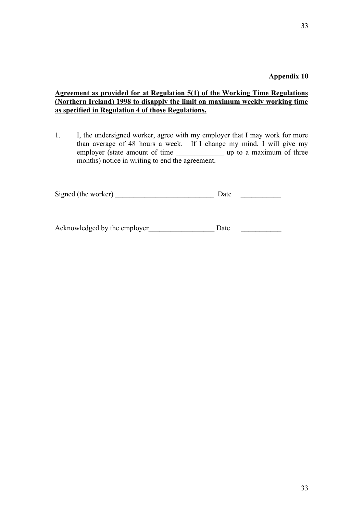**Appendix 10**

#### **Agreement as provided for at Regulation 5(1) of the Working Time Regulations (Northern Ireland) 1998 to disapply the limit on maximum weekly working time as specified in Regulation 4 of those Regulations.**

1. I, the undersigned worker, agree with my employer that I may work for more than average of 48 hours a week. If I change my mind, I will give my employer (state amount of time \_\_\_\_\_\_\_\_\_\_\_\_\_\_\_\_ up to a maximum of three months) notice in writing to end the agreement.

| Signed (the worker) |  |  |  |
|---------------------|--|--|--|
|---------------------|--|--|--|

Acknowledged by the employer Date